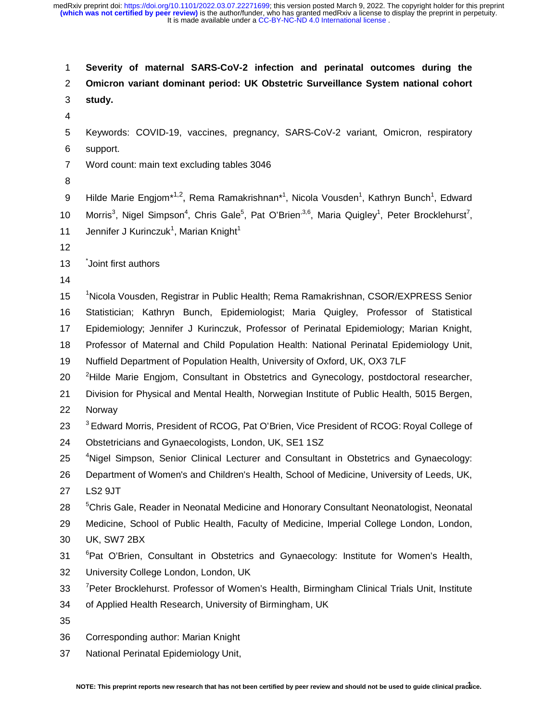1 **Severity of maternal SARS-CoV-2 infection and perinatal outcomes during the**  2 **Omicron variant dominant period: UK Obstetric Surveillance System national cohort**  3 **study.**  4 5 Keywords: COVID-19, vaccines, pregnancy, SARS-CoV-2 variant, Omicron, respiratory 6 support. 7 Word count: main text excluding tables 3046 8 9 Hilde Marie Engjom\*<sup>1,2</sup>, Rema Ramakrishnan\*<sup>1</sup>, Nicola Vousden<sup>1</sup>, Kathryn Bunch<sup>1</sup>, Edward 10 Morris<sup>3</sup>, Nigel Simpson<sup>4</sup>, Chris Gale<sup>5</sup>, Pat O'Brien<sup>,3,6</sup>, Maria Quigley<sup>1</sup>, Peter Brocklehurst<sup>7</sup>, 11 Jennifer J Kurinczuk<sup>1</sup>, Marian Knight<sup>1</sup> 12 13 Joint first authors 14 15 <sup>1</sup>Nicola Vousden, Registrar in Public Health; Rema Ramakrishnan, CSOR/EXPRESS Senior 16 Statistician; Kathryn Bunch, Epidemiologist; Maria Quigley, Professor of Statistical 17 Epidemiology; Jennifer J Kurinczuk, Professor of Perinatal Epidemiology; Marian Knight, 18 Professor of Maternal and Child Population Health: National Perinatal Epidemiology Unit, 19 Nuffield Department of Population Health, University of Oxford, UK, OX3 7LF 20 <sup>2</sup> Hilde Marie Engjom, Consultant in Obstetrics and Gynecology, postdoctoral researcher, 21 Division for Physical and Mental Health, Norwegian Institute of Public Health, 5015 Bergen, 22 Norway 23 <sup>3</sup> Edward Morris, President of RCOG, Pat O'Brien, Vice President of RCOG: Royal College of 24 Obstetricians and Gynaecologists, London, UK, SE1 1SZ 25 <sup>4</sup> Nigel Simpson, Senior Clinical Lecturer and Consultant in Obstetrics and Gynaecology: 26 Department of Women's and Children's Health, School of Medicine, University of Leeds, UK, 27 LS2 9JT 28 <sup>5</sup> Chris Gale, Reader in Neonatal Medicine and Honorary Consultant Neonatologist, Neonatal 29 Medicine, School of Public Health, Faculty of Medicine, Imperial College London, London, 30 UK, SW7 2BX <sup>6</sup> Pat O'Brien, Consultant in Obstetrics and Gynaecology: Institute for Women's Health, 32 University College London, London, UK 33 <sup>7</sup> Peter Brocklehurst. Professor of Women's Health, Birmingham Clinical Trials Unit, Institute 34 of Applied Health Research, University of Birmingham, UK 35 36 Corresponding author: Marian Knight 37 National Perinatal Epidemiology Unit,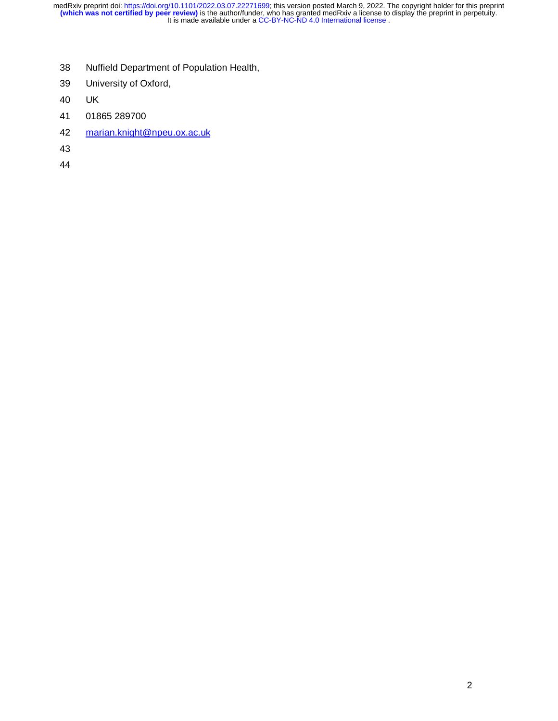- 38 Nuffield Department of Population Health,
- 39 University of Oxford,
- 40 UK
- 41 01865 289700
- 42 marian.knight@npeu.ox.ac.uk
- 43
- 44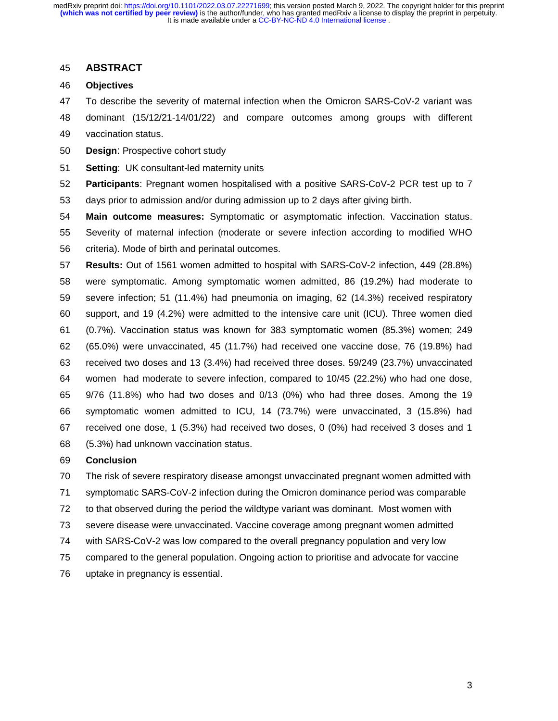### 45 **ABSTRACT**

- 46 **Objectives**
- 47 To describe the severity of maternal infection when the Omicron SARS-CoV-2 variant was
- 48 dominant (15/12/21-14/01/22) and compare outcomes among groups with different
- 49 vaccination status.
- 50 **Design**: Prospective cohort study
- 51 **Setting**: UK consultant-led maternity units

52 **Participants**: Pregnant women hospitalised with a positive SARS-CoV-2 PCR test up to 7 53 days prior to admission and/or during admission up to 2 days after giving birth.

54 **Main outcome measures:** Symptomatic or asymptomatic infection. Vaccination status. 55 Severity of maternal infection (moderate or severe infection according to modified WHO 56 criteria). Mode of birth and perinatal outcomes.

57 **Results:** Out of 1561 women admitted to hospital with SARS-CoV-2 infection, 449 (28.8%) 58 were symptomatic. Among symptomatic women admitted, 86 (19.2%) had moderate to 59 severe infection; 51 (11.4%) had pneumonia on imaging, 62 (14.3%) received respiratory 60 support, and 19 (4.2%) were admitted to the intensive care unit (ICU). Three women died 61 (0.7%). Vaccination status was known for 383 symptomatic women (85.3%) women; 249 62 (65.0%) were unvaccinated, 45 (11.7%) had received one vaccine dose, 76 (19.8%) had 63 received two doses and 13 (3.4%) had received three doses. 59/249 (23.7%) unvaccinated 64 women had moderate to severe infection, compared to 10/45 (22.2%) who had one dose, 65 9/76 (11.8%) who had two doses and 0/13 (0%) who had three doses. Among the 19 66 symptomatic women admitted to ICU, 14 (73.7%) were unvaccinated, 3 (15.8%) had 67 received one dose, 1 (5.3%) had received two doses, 0 (0%) had received 3 doses and 1 68 (5.3%) had unknown vaccination status.

## 69 **Conclusion**

70 The risk of severe respiratory disease amongst unvaccinated pregnant women admitted with

- 71 symptomatic SARS-CoV-2 infection during the Omicron dominance period was comparable
- 72 to that observed during the period the wildtype variant was dominant. Most women with
- 73 severe disease were unvaccinated. Vaccine coverage among pregnant women admitted
- 74 with SARS-CoV-2 was low compared to the overall pregnancy population and very low
- 75 compared to the general population. Ongoing action to prioritise and advocate for vaccine
- 76 uptake in pregnancy is essential.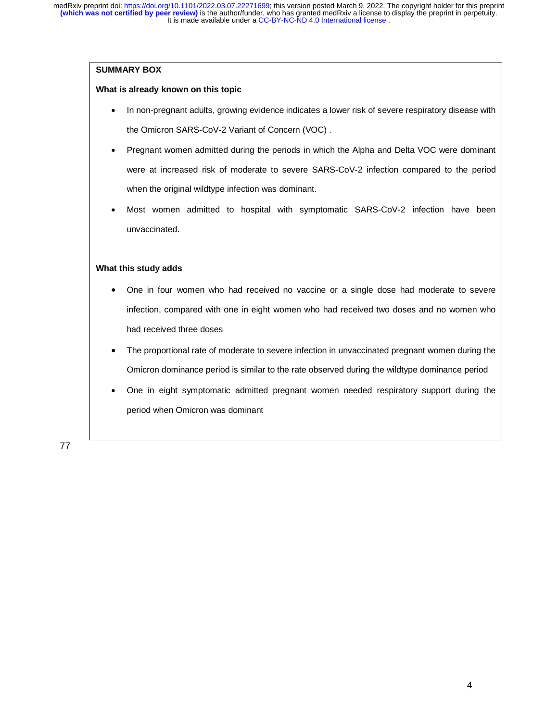#### **SUMMARY BOX**

#### **What is already known on this topic**

- In non-pregnant adults, growing evidence indicates a lower risk of severe respiratory disease with the Omicron SARS-CoV-2 Variant of Concern (VOC) .
- Pregnant women admitted during the periods in which the Alpha and Delta VOC were dominant were at increased risk of moderate to severe SARS-CoV-2 infection compared to the period when the original wildtype infection was dominant.
- Most women admitted to hospital with symptomatic SARS-CoV-2 infection have been unvaccinated.

#### **What this study adds**

- One in four women who had received no vaccine or a single dose had moderate to severe infection, compared with one in eight women who had received two doses and no women who had received three doses
- The proportional rate of moderate to severe infection in unvaccinated pregnant women during the Omicron dominance period is similar to the rate observed during the wildtype dominance period
- One in eight symptomatic admitted pregnant women needed respiratory support during the period when Omicron was dominant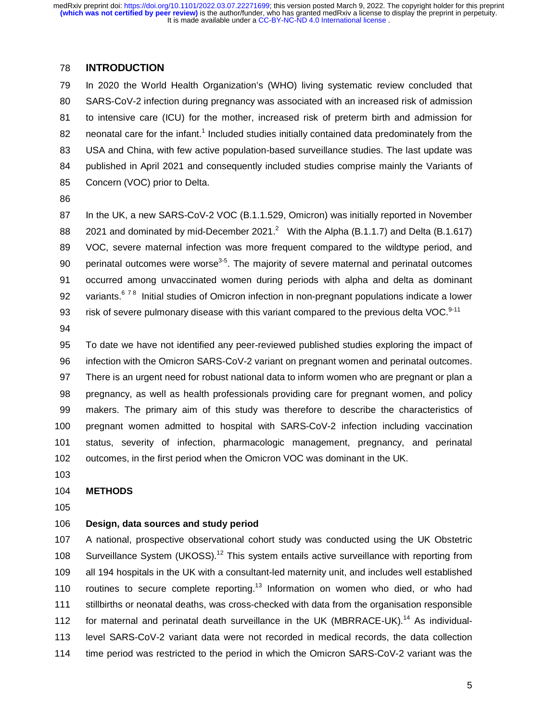# 78 **INTRODUCTION**

79 In 2020 the World Health Organization's (WHO) living systematic review concluded that 80 SARS-CoV-2 infection during pregnancy was associated with an increased risk of admission 81 to intensive care (ICU) for the mother, increased risk of preterm birth and admission for 82 neonatal care for the infant.<sup>1</sup> Included studies initially contained data predominately from the 83 USA and China, with few active population-based surveillance studies. The last update was 84 published in April 2021 and consequently included studies comprise mainly the Variants of 85 Concern (VOC) prior to Delta.

86

87 In the UK, a new SARS-CoV-2 VOC (B.1.1.529, Omicron) was initially reported in November 88 2021 and dominated by mid-December 2021.<sup>2</sup> With the Alpha (B.1.1.7) and Delta (B.1.617) 89 VOC, severe maternal infection was more frequent compared to the wildtype period, and 90 perinatal outcomes were worse<sup>3-5</sup>. The majority of severe maternal and perinatal outcomes 91 occurred among unvaccinated women during periods with alpha and delta as dominant 92 variants.<sup>678</sup> Initial studies of Omicron infection in non-pregnant populations indicate a lower 93 risk of severe pulmonary disease with this variant compared to the previous delta VOC. $9-11$ 

94

95 To date we have not identified any peer-reviewed published studies exploring the impact of 96 infection with the Omicron SARS-CoV-2 variant on pregnant women and perinatal outcomes. 97 There is an urgent need for robust national data to inform women who are pregnant or plan a 98 pregnancy, as well as health professionals providing care for pregnant women, and policy 99 makers. The primary aim of this study was therefore to describe the characteristics of 100 pregnant women admitted to hospital with SARS-CoV-2 infection including vaccination 101 status, severity of infection, pharmacologic management, pregnancy, and perinatal 102 outcomes, in the first period when the Omicron VOC was dominant in the UK.

103

### 104 **METHODS**

105

### 106 **Design, data sources and study period**

107 A national, prospective observational cohort study was conducted using the UK Obstetric 108 Surveillance System (UKOSS).<sup>12</sup> This system entails active surveillance with reporting from 109 all 194 hospitals in the UK with a consultant-led maternity unit, and includes well established 110 routines to secure complete reporting.<sup>13</sup> Information on women who died, or who had 111 stillbirths or neonatal deaths, was cross-checked with data from the organisation responsible 112 for maternal and perinatal death surveillance in the UK (MBRRACE-UK).<sup>14</sup> As individual-113 level SARS-CoV-2 variant data were not recorded in medical records, the data collection 114 time period was restricted to the period in which the Omicron SARS-CoV-2 variant was the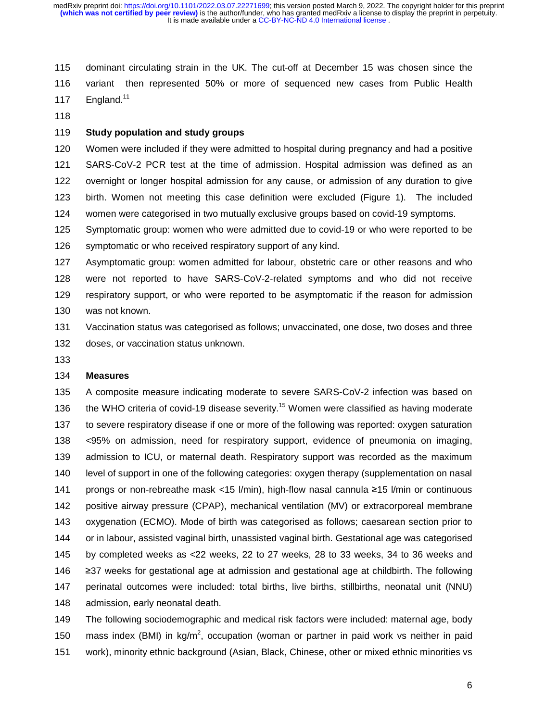115 dominant circulating strain in the UK. The cut-off at December 15 was chosen since the 116 variant then represented 50% or more of sequenced new cases from Public Health 117 England.<sup>11</sup>

118

### 119 **Study population and study groups**

120 Women were included if they were admitted to hospital during pregnancy and had a positive 121 SARS-CoV-2 PCR test at the time of admission. Hospital admission was defined as an 122 overnight or longer hospital admission for any cause, or admission of any duration to give 123 birth. Women not meeting this case definition were excluded (Figure 1). The included 124 women were categorised in two mutually exclusive groups based on covid-19 symptoms.

125 Symptomatic group: women who were admitted due to covid-19 or who were reported to be 126 symptomatic or who received respiratory support of any kind.

127 Asymptomatic group: women admitted for labour, obstetric care or other reasons and who 128 were not reported to have SARS-CoV-2-related symptoms and who did not receive 129 respiratory support, or who were reported to be asymptomatic if the reason for admission 130 was not known.

131 Vaccination status was categorised as follows; unvaccinated, one dose, two doses and three 132 doses, or vaccination status unknown.

133

# 134 **Measures**

135 A composite measure indicating moderate to severe SARS-CoV-2 infection was based on 136 the WHO criteria of covid-19 disease severity.<sup>15</sup> Women were classified as having moderate 137 to severe respiratory disease if one or more of the following was reported: oxygen saturation 138 <95% on admission, need for respiratory support, evidence of pneumonia on imaging, 139 admission to ICU, or maternal death. Respiratory support was recorded as the maximum 140 level of support in one of the following categories: oxygen therapy (supplementation on nasal 141 prongs or non-rebreathe mask <15 l/min), high-flow nasal cannula ≥15 l/min or continuous<br>142 positive airway pressure (CPAP), mechanical ventilation (MV) or extracorporeal membrane positive airway pressure (CPAP), mechanical ventilation (MV) or extracorporeal membrane 143 oxygenation (ECMO). Mode of birth was categorised as follows; caesarean section prior to 144 or in labour, assisted vaginal birth, unassisted vaginal birth. Gestational age was categorised 145 by completed weeks as <22 weeks, 22 to 27 weeks, 28 to 33 weeks, 34 to 36 weeks and 146 ≥37 weeks for gestational age at admission and gestational age at childbirth. The following<br>147 perinatal outcomes were included: total births. live births. stillbirths. neonatal unit (NNU) 147 perinatal outcomes were included: total births, live births, stillbirths, neonatal unit (NNU) 148 admission, early neonatal death.

149 The following sociodemographic and medical risk factors were included: maternal age, body 150 mass index (BMI) in kg/m<sup>2</sup>, occupation (woman or partner in paid work vs neither in paid 151 work), minority ethnic background (Asian, Black, Chinese, other or mixed ethnic minorities vs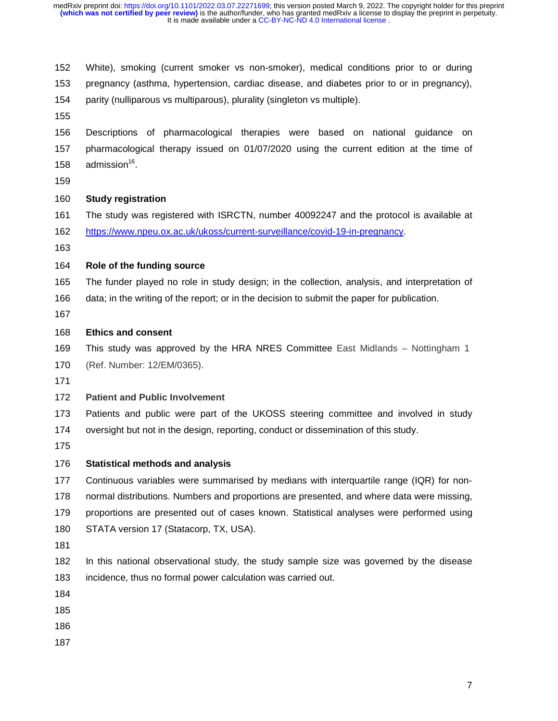It is made available under a [CC-BY-NC-ND 4.0 International license](http://creativecommons.org/licenses/by-nc-nd/4.0/) . **(which was not certified by peer review)** is the author/funder, who has granted medRxiv a license to display the preprint in perpetuity. medRxiv preprint doi: [https://doi.org/10.1101/2022.03.07.22271699;](https://doi.org/10.1101/2022.03.07.22271699) this version posted March 9, 2022. The copyright holder for this preprint

152 White), smoking (current smoker vs non-smoker), medical conditions prior to or during 153 pregnancy (asthma, hypertension, cardiac disease, and diabetes prior to or in pregnancy),

- 154 parity (nulliparous vs multiparous), plurality (singleton vs multiple).
- 155

156 Descriptions of pharmacological therapies were based on national guidance on 157 pharmacological therapy issued on 01/07/2020 using the current edition at the time of 158  $admission^{16}$ .

159

### 160 **Study registration**

- 161 The study was registered with ISRCTN, number 40092247 and the protocol is available at
- 162 https://www.npeu.ox.ac.uk/ukoss/current-surveillance/covid-19-in-pregnancy.
- 163

# 164 **Role of the funding source**

- 165 The funder played no role in study design; in the collection, analysis, and interpretation of
- 166 data; in the writing of the report; or in the decision to submit the paper for publication.
- 167

# 168 **Ethics and consent**

- 169 This study was approved by the HRA NRES Committee East Midlands Nottingham 1
- 170 (Ref. Number: 12/EM/0365).
- 171

# 172 **Patient and Public Involvement**

- 173 Patients and public were part of the UKOSS steering committee and involved in study 174 oversight but not in the design, reporting, conduct or dissemination of this study.
- 175

# 176 **Statistical methods and analysis**

- 177 Continuous variables were summarised by medians with interquartile range (IQR) for non-
- 178 normal distributions. Numbers and proportions are presented, and where data were missing,
- 179 proportions are presented out of cases known. Statistical analyses were performed using
- 180 STATA version 17 (Statacorp, TX, USA).
- 181
- 182 In this national observational study, the study sample size was governed by the disease 183 incidence, thus no formal power calculation was carried out.
- 184
- 185
- 186
- 187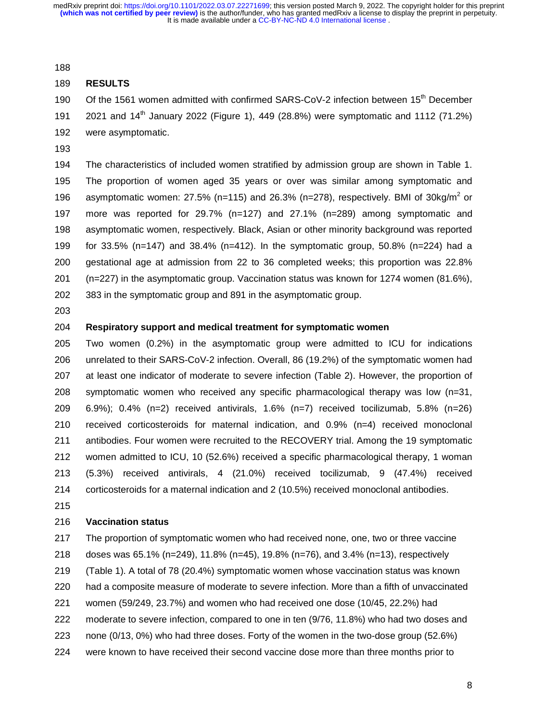188

#### 189 **RESULTS**

190 Of the 1561 women admitted with confirmed SARS-CoV-2 infection between 15<sup>th</sup> December 191 2021 and 14<sup>th</sup> January 2022 (Figure 1), 449 (28.8%) were symptomatic and 1112 (71.2%) 192 were asymptomatic.

193

194 The characteristics of included women stratified by admission group are shown in Table 1. 195 The proportion of women aged 35 years or over was similar among symptomatic and 196 asymptomatic women: 27.5% (n=115) and 26.3% (n=278), respectively. BMI of  $30\text{kg/m}^2$  or 197 more was reported for 29.7% (n=127) and 27.1% (n=289) among symptomatic and 198 asymptomatic women, respectively. Black, Asian or other minority background was reported 199 for 33.5% (n=147) and 38.4% (n=412). In the symptomatic group, 50.8% (n=224) had a 200 gestational age at admission from 22 to 36 completed weeks; this proportion was 22.8% 201 (n=227) in the asymptomatic group. Vaccination status was known for 1274 women (81.6%), 202 383 in the symptomatic group and 891 in the asymptomatic group.

203

## 204 **Respiratory support and medical treatment for symptomatic women**

205 Two women (0.2%) in the asymptomatic group were admitted to ICU for indications 206 unrelated to their SARS-CoV-2 infection. Overall, 86 (19.2%) of the symptomatic women had 207 at least one indicator of moderate to severe infection (Table 2). However, the proportion of 208 symptomatic women who received any specific pharmacological therapy was low (n=31, 209 6.9%); 0.4% (n=2) received antivirals, 1.6% (n=7) received tocilizumab, 5.8% (n=26) 210 received corticosteroids for maternal indication, and 0.9% (n=4) received monoclonal 211 antibodies. Four women were recruited to the RECOVERY trial. Among the 19 symptomatic 212 women admitted to ICU, 10 (52.6%) received a specific pharmacological therapy, 1 woman 213 (5.3%) received antivirals, 4 (21.0%) received tocilizumab, 9 (47.4%) received 214 corticosteroids for a maternal indication and 2 (10.5%) received monoclonal antibodies.

215

#### 216 **Vaccination status**

217 The proportion of symptomatic women who had received none, one, two or three vaccine 218 doses was 65.1% (n=249), 11.8% (n=45), 19.8% (n=76), and 3.4% (n=13), respectively

219 (Table 1). A total of 78 (20.4%) symptomatic women whose vaccination status was known

220 had a composite measure of moderate to severe infection. More than a fifth of unvaccinated

221 women (59/249, 23.7%) and women who had received one dose (10/45, 22.2%) had

- 222 moderate to severe infection, compared to one in ten (9/76, 11.8%) who had two doses and
- 223 none (0/13, 0%) who had three doses. Forty of the women in the two-dose group (52.6%)
- 224 were known to have received their second vaccine dose more than three months prior to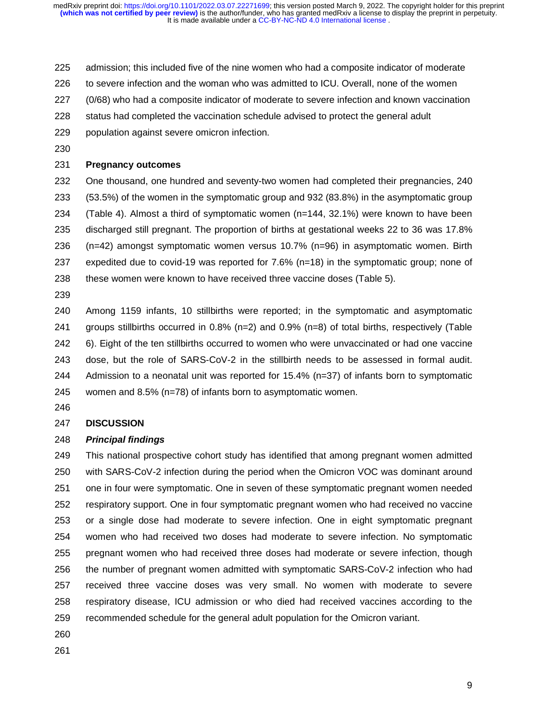- 225 admission; this included five of the nine women who had a composite indicator of moderate
- 226 to severe infection and the woman who was admitted to ICU. Overall, none of the women
- 227 (0/68) who had a composite indicator of moderate to severe infection and known vaccination
- 228 status had completed the vaccination schedule advised to protect the general adult
- 229 population against severe omicron infection.
- 230

# 231 **Pregnancy outcomes**

232 One thousand, one hundred and seventy-two women had completed their pregnancies, 240 233 (53.5%) of the women in the symptomatic group and 932 (83.8%) in the asymptomatic group 234 (Table 4). Almost a third of symptomatic women (n=144, 32.1%) were known to have been 235 discharged still pregnant. The proportion of births at gestational weeks 22 to 36 was 17.8% 236 (n=42) amongst symptomatic women versus 10.7% (n=96) in asymptomatic women. Birth 237 expedited due to covid-19 was reported for 7.6% (n=18) in the symptomatic group; none of 238 these women were known to have received three vaccine doses (Table 5).

239

240 Among 1159 infants, 10 stillbirths were reported; in the symptomatic and asymptomatic 241 groups stillbirths occurred in 0.8% (n=2) and 0.9% (n=8) of total births, respectively (Table 242 6). Eight of the ten stillbirths occurred to women who were unvaccinated or had one vaccine 243 dose, but the role of SARS-CoV-2 in the stillbirth needs to be assessed in formal audit. 244 Admission to a neonatal unit was reported for 15.4% (n=37) of infants born to symptomatic 245 women and 8.5% (n=78) of infants born to asymptomatic women.

246

#### 247 **DISCUSSION**

#### 248 *Principal findings*

249 This national prospective cohort study has identified that among pregnant women admitted 250 with SARS-CoV-2 infection during the period when the Omicron VOC was dominant around 251 one in four were symptomatic. One in seven of these symptomatic pregnant women needed 252 respiratory support. One in four symptomatic pregnant women who had received no vaccine 253 or a single dose had moderate to severe infection. One in eight symptomatic pregnant 254 women who had received two doses had moderate to severe infection. No symptomatic 255 pregnant women who had received three doses had moderate or severe infection, though 256 the number of pregnant women admitted with symptomatic SARS-CoV-2 infection who had 257 received three vaccine doses was very small. No women with moderate to severe 258 respiratory disease, ICU admission or who died had received vaccines according to the 259 recommended schedule for the general adult population for the Omicron variant.

260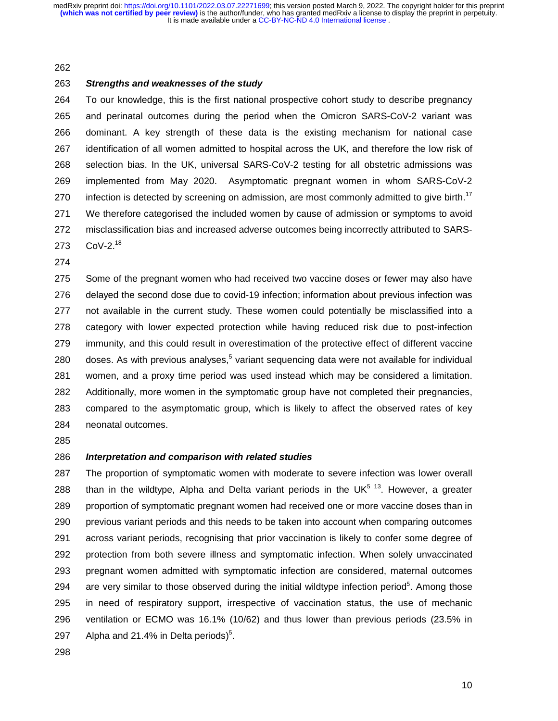#### 262

### 263 *Strengths and weaknesses of the study*

264 To our knowledge, this is the first national prospective cohort study to describe pregnancy 265 and perinatal outcomes during the period when the Omicron SARS-CoV-2 variant was 266 dominant. A key strength of these data is the existing mechanism for national case 267 identification of all women admitted to hospital across the UK, and therefore the low risk of 268 selection bias. In the UK, universal SARS-CoV-2 testing for all obstetric admissions was 269 implemented from May 2020. Asymptomatic pregnant women in whom SARS-CoV-2 270 infection is detected by screening on admission, are most commonly admitted to give birth.<sup>17</sup> 271 We therefore categorised the included women by cause of admission or symptoms to avoid 272 misclassification bias and increased adverse outcomes being incorrectly attributed to SARS-273 CoV-2.<sup>18</sup>

274

275 Some of the pregnant women who had received two vaccine doses or fewer may also have 276 delayed the second dose due to covid-19 infection; information about previous infection was 277 not available in the current study. These women could potentially be misclassified into a 278 category with lower expected protection while having reduced risk due to post-infection 279 immunity, and this could result in overestimation of the protective effect of different vaccine 280 doses. As with previous analyses, $5$  variant sequencing data were not available for individual 281 women, and a proxy time period was used instead which may be considered a limitation. 282 Additionally, more women in the symptomatic group have not completed their pregnancies, 283 compared to the asymptomatic group, which is likely to affect the observed rates of key 284 neonatal outcomes.

285

# 286 *Interpretation and comparison with related studies*

287 The proportion of symptomatic women with moderate to severe infection was lower overall 288 than in the wildtype, Alpha and Delta variant periods in the UK<sup>5 13</sup>. However, a greater 289 proportion of symptomatic pregnant women had received one or more vaccine doses than in 290 previous variant periods and this needs to be taken into account when comparing outcomes 291 across variant periods, recognising that prior vaccination is likely to confer some degree of 292 protection from both severe illness and symptomatic infection. When solely unvaccinated 293 pregnant women admitted with symptomatic infection are considered, maternal outcomes 294 are very similar to those observed during the initial wildtype infection period<sup>5</sup>. Among those 295 in need of respiratory support, irrespective of vaccination status, the use of mechanic 296 ventilation or ECMO was 16.1% (10/62) and thus lower than previous periods (23.5% in 297 Alpha and 21.4% in Delta periods)<sup>5</sup>.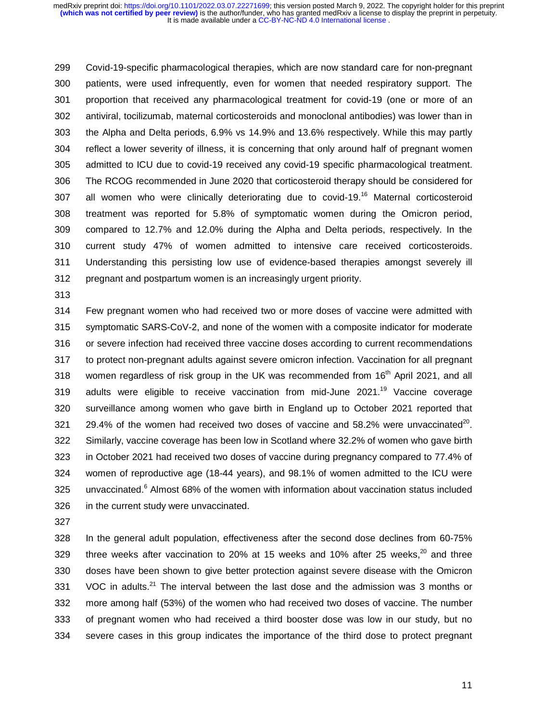299 Covid-19-specific pharmacological therapies, which are now standard care for non-pregnant 300 patients, were used infrequently, even for women that needed respiratory support. The 301 proportion that received any pharmacological treatment for covid-19 (one or more of an 302 antiviral, tocilizumab, maternal corticosteroids and monoclonal antibodies) was lower than in 303 the Alpha and Delta periods, 6.9% vs 14.9% and 13.6% respectively. While this may partly 304 reflect a lower severity of illness, it is concerning that only around half of pregnant women 305 admitted to ICU due to covid-19 received any covid-19 specific pharmacological treatment. 306 The RCOG recommended in June 2020 that corticosteroid therapy should be considered for 307 all women who were clinically deteriorating due to covid-19.<sup>16</sup> Maternal corticosteroid 308 treatment was reported for 5.8% of symptomatic women during the Omicron period, 309 compared to 12.7% and 12.0% during the Alpha and Delta periods, respectively. In the 310 current study 47% of women admitted to intensive care received corticosteroids. 311 Understanding this persisting low use of evidence-based therapies amongst severely ill 312 pregnant and postpartum women is an increasingly urgent priority.

313

314 Few pregnant women who had received two or more doses of vaccine were admitted with 315 symptomatic SARS-CoV-2, and none of the women with a composite indicator for moderate 316 or severe infection had received three vaccine doses according to current recommendations 317 to protect non-pregnant adults against severe omicron infection. Vaccination for all pregnant 318 women regardless of risk group in the UK was recommended from 16<sup>th</sup> April 2021, and all 319 adults were eligible to receive vaccination from mid-June  $2021.^{19}$  Vaccine coverage 320 surveillance among women who gave birth in England up to October 2021 reported that 321 29.4% of the women had received two doses of vaccine and 58.2% were unvaccinated<sup>20</sup>. 322 Similarly, vaccine coverage has been low in Scotland where 32.2% of women who gave birth 323 in October 2021 had received two doses of vaccine during pregnancy compared to 77.4% of 324 women of reproductive age (18-44 years), and 98.1% of women admitted to the ICU were  $325$  unvaccinated. $6$  Almost 68% of the women with information about vaccination status included 326 in the current study were unvaccinated.

327

328 In the general adult population, effectiveness after the second dose declines from 60-75% 329 three weeks after vaccination to 20% at 15 weeks and 10% after 25 weeks, $^{20}$  and three 330 doses have been shown to give better protection against severe disease with the Omicron 331 VOC in adults.<sup>21</sup> The interval between the last dose and the admission was 3 months or 332 more among half (53%) of the women who had received two doses of vaccine. The number 333 of pregnant women who had received a third booster dose was low in our study, but no 334 severe cases in this group indicates the importance of the third dose to protect pregnant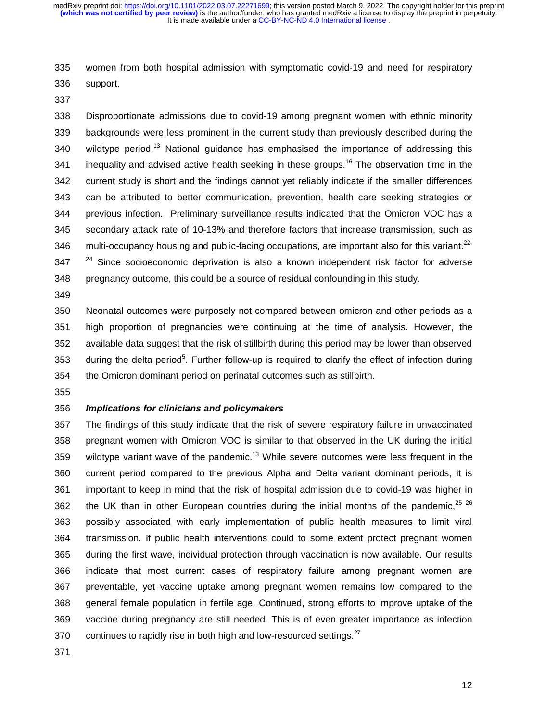335 women from both hospital admission with symptomatic covid-19 and need for respiratory 336 support.

337

338 Disproportionate admissions due to covid-19 among pregnant women with ethnic minority 339 backgrounds were less prominent in the current study than previously described during the 340 wildtype period.<sup>13</sup> National guidance has emphasised the importance of addressing this 341 inequality and advised active health seeking in these groups.<sup>16</sup> The observation time in the 342 current study is short and the findings cannot yet reliably indicate if the smaller differences 343 can be attributed to better communication, prevention, health care seeking strategies or 344 previous infection. Preliminary surveillance results indicated that the Omicron VOC has a 345 secondary attack rate of 10-13% and therefore factors that increase transmission, such as 346 multi-occupancy housing and public-facing occupations, are important also for this variant.<sup>22-</sup>  $347$   $^{24}$  Since socioeconomic deprivation is also a known independent risk factor for adverse 348 pregnancy outcome, this could be a source of residual confounding in this study.

349

350 Neonatal outcomes were purposely not compared between omicron and other periods as a 351 high proportion of pregnancies were continuing at the time of analysis. However, the 352 available data suggest that the risk of stillbirth during this period may be lower than observed 353 during the delta period<sup>5</sup>. Further follow-up is required to clarify the effect of infection during 354 the Omicron dominant period on perinatal outcomes such as stillbirth.

355

### 356 *Implications for clinicians and policymakers*

357 The findings of this study indicate that the risk of severe respiratory failure in unvaccinated 358 pregnant women with Omicron VOC is similar to that observed in the UK during the initial 359 wildtype variant wave of the pandemic.<sup>13</sup> While severe outcomes were less frequent in the 360 current period compared to the previous Alpha and Delta variant dominant periods, it is 361 important to keep in mind that the risk of hospital admission due to covid-19 was higher in 362 the UK than in other European countries during the initial months of the pandemic,  $25^{26}$ 363 possibly associated with early implementation of public health measures to limit viral 364 transmission. If public health interventions could to some extent protect pregnant women 365 during the first wave, individual protection through vaccination is now available. Our results 366 indicate that most current cases of respiratory failure among pregnant women are 367 preventable, yet vaccine uptake among pregnant women remains low compared to the 368 general female population in fertile age. Continued, strong efforts to improve uptake of the 369 vaccine during pregnancy are still needed. This is of even greater importance as infection 370 continues to rapidly rise in both high and low-resourced settings.<sup>27</sup>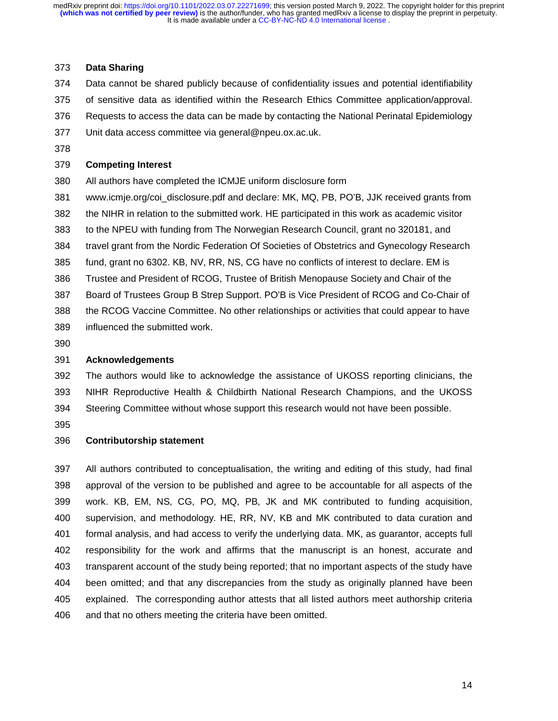#### 373 **Data Sharing**

374 Data cannot be shared publicly because of confidentiality issues and potential identifiability

- 375 of sensitive data as identified within the Research Ethics Committee application/approval.
- 376 Requests to access the data can be made by contacting the National Perinatal Epidemiology
- 377 Unit data access committee via general@npeu.ox.ac.uk.
- 378

## 379 **Competing Interest**

380 All authors have completed the ICMJE uniform disclosure form

- 381 www.icmje.org/coi\_disclosure.pdf and declare: MK, MQ, PB, PO'B, JJK received grants from
- 382 the NIHR in relation to the submitted work. HE participated in this work as academic visitor
- 383 to the NPEU with funding from The Norwegian Research Council, grant no 320181, and
- 384 travel grant from the Nordic Federation Of Societies of Obstetrics and Gynecology Research
- 385 fund, grant no 6302. KB, NV, RR, NS, CG have no conflicts of interest to declare. EM is
- 386 Trustee and President of RCOG, Trustee of British Menopause Society and Chair of the
- 387 Board of Trustees Group B Strep Support. PO'B is Vice President of RCOG and Co-Chair of 388 the RCOG Vaccine Committee. No other relationships or activities that could appear to have
- 389 influenced the submitted work.
- 390

## 391 **Acknowledgements**

392 The authors would like to acknowledge the assistance of UKOSS reporting clinicians, the 393 NIHR Reproductive Health & Childbirth National Research Champions, and the UKOSS 394 Steering Committee without whose support this research would not have been possible.

395

## 396 **Contributorship statement**

397 All authors contributed to conceptualisation, the writing and editing of this study, had final 398 approval of the version to be published and agree to be accountable for all aspects of the 399 work. KB, EM, NS, CG, PO, MQ, PB, JK and MK contributed to funding acquisition, 400 supervision, and methodology. HE, RR, NV, KB and MK contributed to data curation and 401 formal analysis, and had access to verify the underlying data. MK, as guarantor, accepts full 402 responsibility for the work and affirms that the manuscript is an honest, accurate and 403 transparent account of the study being reported; that no important aspects of the study have 404 been omitted; and that any discrepancies from the study as originally planned have been 405 explained. The corresponding author attests that all listed authors meet authorship criteria 406 and that no others meeting the criteria have been omitted.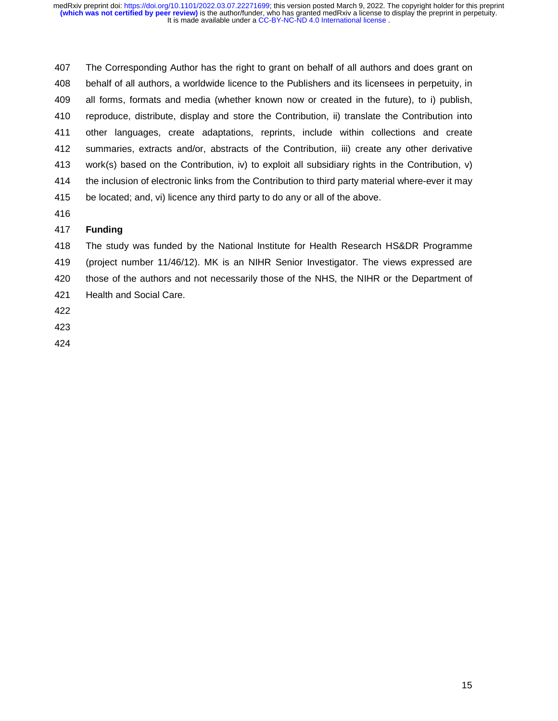407 The Corresponding Author has the right to grant on behalf of all authors and does grant on 408 behalf of all authors, a worldwide licence to the Publishers and its licensees in perpetuity, in 409 all forms, formats and media (whether known now or created in the future), to i) publish, 410 reproduce, distribute, display and store the Contribution, ii) translate the Contribution into 411 other languages, create adaptations, reprints, include within collections and create 412 summaries, extracts and/or, abstracts of the Contribution, iii) create any other derivative 413 work(s) based on the Contribution, iv) to exploit all subsidiary rights in the Contribution, v) 414 the inclusion of electronic links from the Contribution to third party material where-ever it may 415 be located; and, vi) licence any third party to do any or all of the above.

416

# 417 **Funding**

418 The study was funded by the National Institute for Health Research HS&DR Programme 419 (project number 11/46/12). MK is an NIHR Senior Investigator. The views expressed are

- 420 those of the authors and not necessarily those of the NHS, the NIHR or the Department of
- 421 Health and Social Care.
- 422
- 423
- 424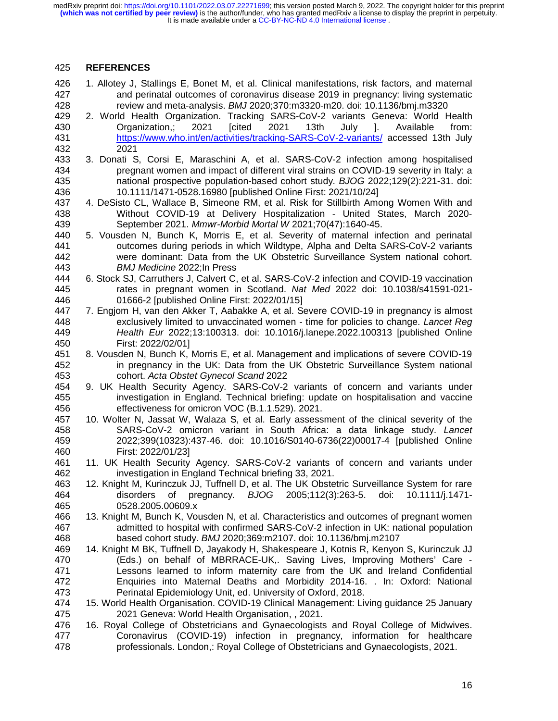It is made available under a [CC-BY-NC-ND 4.0 International license](http://creativecommons.org/licenses/by-nc-nd/4.0/) . **(which was not certified by peer review)** is the author/funder, who has granted medRxiv a license to display the preprint in perpetuity. medRxiv preprint doi: [https://doi.org/10.1101/2022.03.07.22271699;](https://doi.org/10.1101/2022.03.07.22271699) this version posted March 9, 2022. The copyright holder for this preprint

## 425 **REFERENCES**

- 426 1. Allotey J, Stallings E, Bonet M, et al. Clinical manifestations, risk factors, and maternal 427 and perinatal outcomes of coronavirus disease 2019 in pregnancy: living systematic<br>428 feview and meta-analysis. BMJ 2020:370:m3320-m20. doi: 10.1136/bmi.m3320 428 review and meta-analysis. *BMJ* 2020;370:m3320-m20. doi: 10.1136/bmj.m3320
- 2. World Health Organization. Tracking SARS-CoV-2 variants Geneva: World Health 430 Organization,; 2021 [cited 2021 13th July ]. Available from: 431 https://www.who.int/en/activities/tracking-SARS-CoV-2-variants/ accessed 13th July 432 2021
- 433 3. Donati S, Corsi E, Maraschini A, et al. SARS-CoV-2 infection among hospitalised 434 pregnant women and impact of different viral strains on COVID-19 severity in Italy: a 435 national prospective population-based cohort study. *BJOG* 2022;129(2):221-31. doi: 436 10.1111/1471-0528.16980 [published Online First: 2021/10/24]
- 437 4. DeSisto CL, Wallace B, Simeone RM, et al. Risk for Stillbirth Among Women With and 438 Without COVID-19 at Delivery Hospitalization - United States, March 2020- 439 September 2021. *Mmwr-Morbid Mortal W* 2021;70(47):1640-45.
- 440 5. Vousden N, Bunch K, Morris E, et al. Severity of maternal infection and perinatal 441 outcomes during periods in which Wildtype, Alpha and Delta SARS-CoV-2 variants 442 were dominant: Data from the UK Obstetric Surveillance System national cohort. 443 *BMJ Medicine* 2022;In Press
- 444 6. Stock SJ, Carruthers J, Calvert C, et al. SARS-CoV-2 infection and COVID-19 vaccination 445 rates in pregnant women in Scotland. *Nat Med* 2022 doi: 10.1038/s41591-021- 446 01666-2 [published Online First: 2022/01/15]
- 447 7. Engjom H, van den Akker T, Aabakke A, et al. Severe COVID-19 in pregnancy is almost 448 exclusively limited to unvaccinated women - time for policies to change. *Lancet Reg*  449 *Health Eur* 2022;13:100313. doi: 10.1016/j.lanepe.2022.100313 [published Online 450 First: 2022/02/01]
- 451 8. Vousden N, Bunch K, Morris E, et al. Management and implications of severe COVID-19 452 in pregnancy in the UK: Data from the UK Obstetric Surveillance System national 453 cohort. *Acta Obstet Gynecol Scand* 2022
- 454 9. UK Health Security Agency. SARS-CoV-2 variants of concern and variants under 455 investigation in England. Technical briefing: update on hospitalisation and vaccine 456 effectiveness for omicron VOC (B.1.1.529). 2021.
- 457 10. Wolter N, Jassat W, Walaza S, et al. Early assessment of the clinical severity of the 458 SARS-CoV-2 omicron variant in South Africa: a data linkage study. *Lancet* 459 2022;399(10323):437-46. doi: 10.1016/S0140-6736(22)00017-4 [published Online 460 First: 2022/01/23]
- 461 11. UK Health Security Agency. SARS-CoV-2 variants of concern and variants under 462 investigation in England Technical briefing 33, 2021.
- 463 12. Knight M, Kurinczuk JJ, Tuffnell D, et al. The UK Obstetric Surveillance System for rare 464 disorders of pregnancy. *BJOG* 2005;112(3):263-5. doi: 10.1111/j.1471- 465 0528.2005.00609.x
- 466 13. Knight M, Bunch K, Vousden N, et al. Characteristics and outcomes of pregnant women 467 admitted to hospital with confirmed SARS-CoV-2 infection in UK: national population 468 based cohort study. *BMJ* 2020;369:m2107. doi: 10.1136/bmj.m2107
- 469 14. Knight M BK, Tuffnell D, Jayakody H, Shakespeare J, Kotnis R, Kenyon S, Kurinczuk JJ 470 (Eds.) on behalf of MBRRACE-UK,. Saving Lives, Improving Mothers' Care - 471 Lessons learned to inform maternity care from the UK and Ireland Confidential 472 Enquiries into Maternal Deaths and Morbidity 2014-16. . In: Oxford: National 473 Perinatal Epidemiology Unit, ed. University of Oxford, 2018.
- 474 15. World Health Organisation. COVID-19 Clinical Management: Living guidance 25 January 475 2021 Geneva: World Health Organisation, , 2021.
- 476 16. Royal College of Obstetricians and Gynaecologists and Royal College of Midwives. 477 Coronavirus (COVID-19) infection in pregnancy, information for healthcare 478 professionals. London,: Royal College of Obstetricians and Gynaecologists, 2021.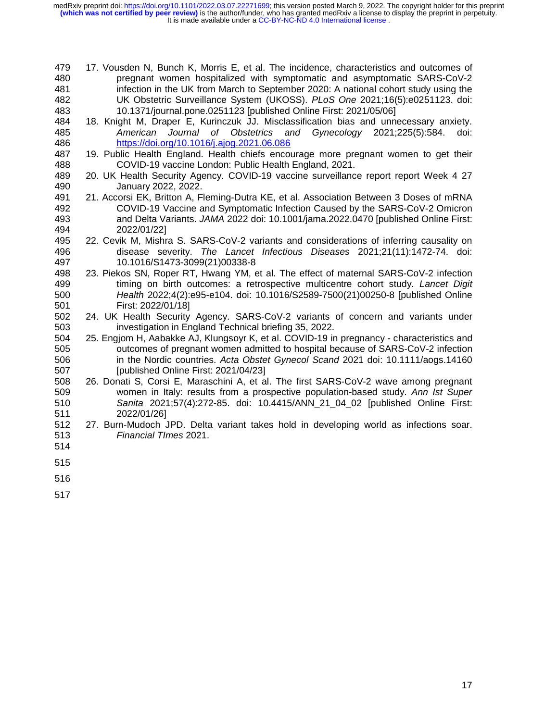It is made available under a [CC-BY-NC-ND 4.0 International license](http://creativecommons.org/licenses/by-nc-nd/4.0/) . **(which was not certified by peer review)** is the author/funder, who has granted medRxiv a license to display the preprint in perpetuity. medRxiv preprint doi: [https://doi.org/10.1101/2022.03.07.22271699;](https://doi.org/10.1101/2022.03.07.22271699) this version posted March 9, 2022. The copyright holder for this preprint

- 479 17. Vousden N, Bunch K, Morris E, et al. The incidence, characteristics and outcomes of 480 pregnant women hospitalized with symptomatic and asymptomatic SARS-CoV-2 481 infection in the UK from March to September 2020: A national cohort study using the<br>482 UK Obstetric Surveillance System (UKOSS). PLoS One 2021;16(5):e0251123. doi: 482 UK Obstetric Surveillance System (UKOSS). *PLoS One* 2021;16(5):e0251123. doi: 483 10.1371/journal.pone.0251123 [published Online First: 2021/05/06]
- 484 18. Knight M, Draper E, Kurinczuk JJ. Misclassification bias and unnecessary anxiety. 485 *American Journal of Obstetrics and Gynecology* 2021;225(5):584. doi: 486 https://doi.org/10.1016/j.ajog.2021.06.086
- 487 19. Public Health England. Health chiefs encourage more pregnant women to get their<br>488 COVID-19 vaccine London: Public Health England, 2021. COVID-19 vaccine London: Public Health England, 2021.
- 489 20. UK Health Security Agency. COVID-19 vaccine surveillance report report Week 4 27<br>490 January 2022. 2022. 490 January 2022, 2022.
- 491 21. Accorsi EK, Britton A, Fleming-Dutra KE, et al. Association Between 3 Doses of mRNA 492 COVID-19 Vaccine and Symptomatic Infection Caused by the SARS-CoV-2 Omicron 493 and Delta Variants. *JAMA* 2022 doi: 10.1001/jama.2022.0470 [published Online First: 494 2022/01/22]
- 495 22. Cevik M, Mishra S. SARS-CoV-2 variants and considerations of inferring causality on 496 disease severity. *The Lancet Infectious Diseases* 2021;21(11):1472-74. doi: 497 10.1016/S1473-3099(21)00338-8
- 498 23. Piekos SN, Roper RT, Hwang YM, et al. The effect of maternal SARS-CoV-2 infection 499 timing on birth outcomes: a retrospective multicentre cohort study. *Lancet Digit*  500 *Health* 2022;4(2):e95-e104. doi: 10.1016/S2589-7500(21)00250-8 [published Online 501 First: 2022/01/18]<br>502 24. UK Health Security
- 24. UK Health Security Agency. SARS-CoV-2 variants of concern and variants under 503 investigation in England Technical briefing 35, 2022.
- 504 25. Engjom H, Aabakke AJ, Klungsoyr K, et al. COVID-19 in pregnancy characteristics and 505 outcomes of pregnant women admitted to hospital because of SARS-CoV-2 infection 506 in the Nordic countries. *Acta Obstet Gynecol Scand* 2021 doi: 10.1111/aogs.14160 507 [published Online First: 2021/04/23]
- 508 26. Donati S, Corsi E, Maraschini A, et al. The first SARS-CoV-2 wave among pregnant 509 women in Italy: results from a prospective population-based study. *Ann Ist Super*  510 *Sanita* 2021;57(4):272-85. doi: 10.4415/ANN\_21\_04\_02 [published Online First: 511 2022/01/26]
- 512 27. Burn-Mudoch JPD. Delta variant takes hold in developing world as infections soar. 513 *Financial TImes* 2021.
- 514
- 515
- 516
- 517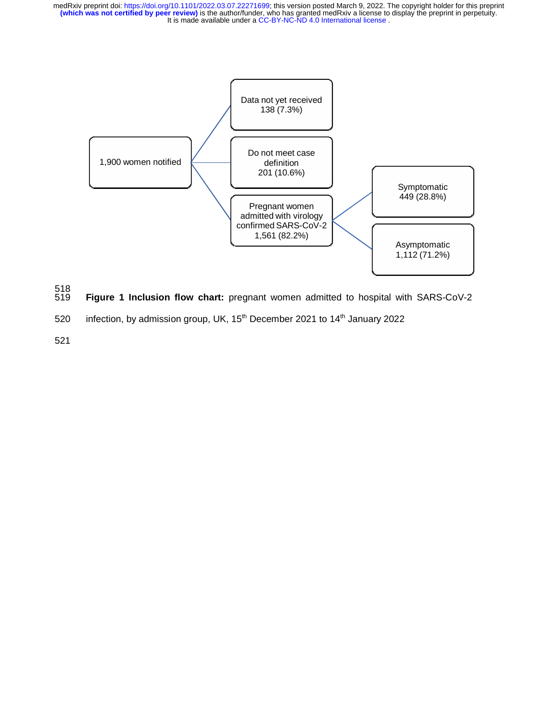

- 518 Figure 1 Inclusion flow chart: pregnant women admitted to hospital with SARS-CoV-2
- 520 infection, by admission group, UK,  $15<sup>th</sup>$  December 2021 to  $14<sup>th</sup>$  January 2022
- 521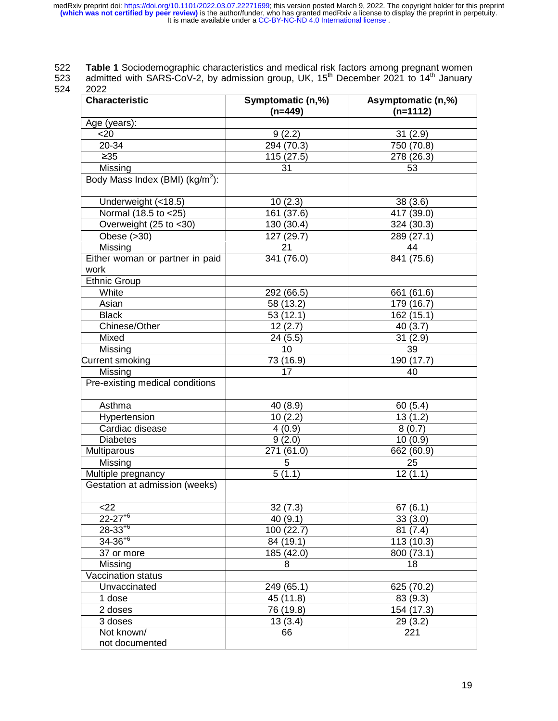522 **Table 1** Sociodemographic characteristics and medical risk factors among pregnant women

523 admitted with SARS-CoV-2, by admission group, UK,  $15<sup>th</sup>$  December 2021 to  $14<sup>th</sup>$  January

524 2022

| <b>Characteristic</b>                   | Symptomatic (n,%) | Asymptomatic (n,%)    |
|-----------------------------------------|-------------------|-----------------------|
|                                         | $(n=449)$         | $(n=1112)$            |
| Age (years):                            |                   |                       |
| $20$                                    | 9(2.2)            | 31(2.9)               |
| 20-34                                   | 294 (70.3)        | 750 (70.8)            |
| $\geq 35$                               | 115 (27.5)        | 278 (26.3)            |
| Missing                                 | 31                | 53                    |
| Body Mass Index (BMI) ( $kg/m^2$ ):     |                   |                       |
| Underweight (<18.5)                     | 10(2.3)           | 38(3.6)               |
| Normal (18.5 to <25)                    | 161 (37.6)        | 417 (39.0)            |
| Overweight (25 to <30)                  | 130 (30.4)        | 324 (30.3)            |
| Obese $(>30)$                           | 127 (29.7)        | 289 (27.1)            |
| Missing                                 | 21                | 44                    |
| Either woman or partner in paid<br>work | 341 (76.0)        | 841 (75.6)            |
| <b>Ethnic Group</b>                     |                   |                       |
| White                                   | 292 (66.5)        | 661 (61.6)            |
| Asian                                   | 58 (13.2)         | 179 (16.7)            |
| <b>Black</b>                            | 53(12.1)          | 162 (15.1)            |
| Chinese/Other                           | 12(2.7)           | 40(3.7)               |
| Mixed                                   | 24 (5.5)          | 31(2.9)               |
| Missing                                 | 10                | 39                    |
| Current smoking                         | 73 (16.9)         | 190 (17.7)            |
| Missing                                 | 17                | 40                    |
| Pre-existing medical conditions         |                   |                       |
| Asthma                                  | 40 (8.9)          | 60(5.4)               |
| Hypertension                            | 10(2.2)           | 13(1.2)               |
| Cardiac disease                         | 4(0.9)            | 8(0.7)                |
| <b>Diabetes</b>                         | 9(2.0)            | 10(0.9)               |
| Multiparous                             | 271 (61.0)        | 662 (60.9)            |
| Missing                                 | 5 <sup>5</sup>    | 25                    |
| Multiple pregnancy                      | 5(1.1)            | $\overline{12}$ (1.1) |
| Gestation at admission (weeks)          |                   |                       |
| $<$ 22                                  | 32(7.3)           | 67(6.1)               |
| $22 - 27 + 6$                           | 40(9.1)           | 33(3.0)               |
| $28-33^{+6}$                            | 100 (22.7)        | 81(7.4)               |
| $34 - 36 + 6$                           | 84 (19.1)         | 113 (10.3)            |
| 37 or more                              | 185 (42.0)        | 800 (73.1)            |
| Missing                                 | 8                 | 18                    |
| Vaccination status                      |                   |                       |
| Unvaccinated                            | 249 (65.1)        | 625 (70.2)            |
| 1 dose                                  | 45 (11.8)         | 83 (9.3)              |
| 2 doses                                 | 76 (19.8)         | 154 (17.3)            |
| 3 doses                                 | 13(3.4)           | 29(3.2)               |
| Not known/                              | 66                | 221                   |
| not documented                          |                   |                       |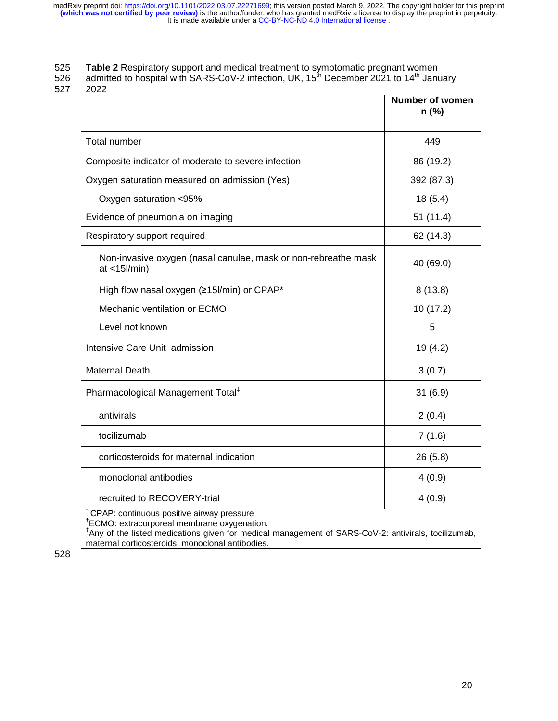## 525 **Table 2** Respiratory support and medical treatment to symptomatic pregnant women

526 admitted to hospital with SARS-CoV-2 infection, UK, 15<sup>th</sup> December 2021 to 14<sup>th</sup> January

527 2022

|                                                                                                                                                                                                                                                                             | <b>Number of women</b><br>n (%) |
|-----------------------------------------------------------------------------------------------------------------------------------------------------------------------------------------------------------------------------------------------------------------------------|---------------------------------|
| <b>Total number</b>                                                                                                                                                                                                                                                         | 449                             |
| Composite indicator of moderate to severe infection                                                                                                                                                                                                                         | 86 (19.2)                       |
| Oxygen saturation measured on admission (Yes)                                                                                                                                                                                                                               | 392 (87.3)                      |
| Oxygen saturation <95%                                                                                                                                                                                                                                                      | 18(5.4)                         |
| Evidence of pneumonia on imaging                                                                                                                                                                                                                                            | 51(11.4)                        |
| Respiratory support required                                                                                                                                                                                                                                                | 62 (14.3)                       |
| Non-invasive oxygen (nasal canulae, mask or non-rebreathe mask<br>$at < 15$ /min)                                                                                                                                                                                           | 40 (69.0)                       |
| High flow nasal oxygen (≥15l/min) or CPAP*                                                                                                                                                                                                                                  | 8(13.8)                         |
| Mechanic ventilation or ECMO <sup>t</sup>                                                                                                                                                                                                                                   | 10(17.2)                        |
| Level not known                                                                                                                                                                                                                                                             | 5                               |
| Intensive Care Unit admission                                                                                                                                                                                                                                               | 19 (4.2)                        |
| <b>Maternal Death</b>                                                                                                                                                                                                                                                       | 3(0.7)                          |
| Pharmacological Management Total <sup>‡</sup>                                                                                                                                                                                                                               | 31(6.9)                         |
| antivirals                                                                                                                                                                                                                                                                  | 2(0.4)                          |
| tocilizumab                                                                                                                                                                                                                                                                 | 7(1.6)                          |
| corticosteroids for maternal indication                                                                                                                                                                                                                                     | 26 (5.8)                        |
| monoclonal antibodies                                                                                                                                                                                                                                                       | 4(0.9)                          |
| recruited to RECOVERY-trial                                                                                                                                                                                                                                                 | 4(0.9)                          |
| CPAP: continuous positive airway pressure<br><sup>†</sup> ECMO: extracorporeal membrane oxygenation.<br><sup>‡</sup> Any of the listed medications given for medical management of SARS-CoV-2: antivirals, tocilizumab,<br>maternal corticosteroids, monoclonal antibodies. |                                 |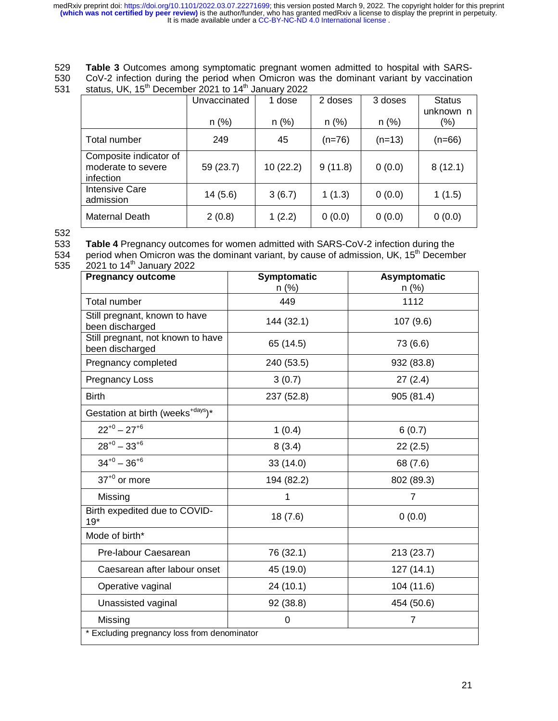529 **Table 3** Outcomes among symptomatic pregnant women admitted to hospital with SARS-530 CoV-2 infection during the period when Omicron was the dominant variant by vaccination status. UK,  $15^{th}$  December 2021 to  $14^{th}$  January 2022

status, UK,  $15<sup>th</sup>$  December 2021 to  $14<sup>th</sup>$  January 2022

|                                                           | Unvaccinated | 1 dose   | 2 doses  | 3 doses  | <b>Status</b><br>unknown n |
|-----------------------------------------------------------|--------------|----------|----------|----------|----------------------------|
|                                                           | $n$ (%)      | $n$ (%)  | $n$ (%)  | $n$ (%)  | $(\% )$                    |
| Total number                                              | 249          | 45       | $(n=76)$ | $(n=13)$ | $(n=66)$                   |
| Composite indicator of<br>moderate to severe<br>infection | 59 (23.7)    | 10(22.2) | 9(11.8)  | 0(0.0)   | 8(12.1)                    |
| <b>Intensive Care</b><br>admission                        | 14(5.6)      | 3(6.7)   | 1(1.3)   | 0(0.0)   | 1(1.5)                     |
| Maternal Death                                            | 2(0.8)       | 1(2.2)   | 0(0.0)   | 0(0.0)   | 0(0.0)                     |

532

533 **Table 4** Pregnancy outcomes for women admitted with SARS-CoV-2 infection during the<br>534 period when Omicron was the dominant variant, by cause of admission, UK, 15<sup>th</sup> Decemb

534 period when Omicron was the dominant variant, by cause of admission, UK, 15<sup>th</sup> December<br>535 2021 to 14<sup>th</sup> January 2022  $2021$  to 14<sup>th</sup> January 2022

| <b>Pregnancy outcome</b>                             | Symptomatic<br>$n$ (%) | <b>Asymptomatic</b><br>$n$ (%) |
|------------------------------------------------------|------------------------|--------------------------------|
| <b>Total number</b>                                  | 449                    | 1112                           |
| Still pregnant, known to have<br>been discharged     | 144 (32.1)             | 107 (9.6)                      |
| Still pregnant, not known to have<br>been discharged | 65 (14.5)              | 73 (6.6)                       |
| Pregnancy completed                                  | 240 (53.5)             | 932 (83.8)                     |
| <b>Pregnancy Loss</b>                                | 3(0.7)                 | 27(2.4)                        |
| <b>Birth</b>                                         | 237 (52.8)             | 905 (81.4)                     |
| Gestation at birth (weeks <sup>+days</sup> )*        |                        |                                |
| $22^{+0} - 27^{+6}$                                  | 1(0.4)                 | 6(0.7)                         |
| $28^{+0} - 33^{+6}$                                  | 8(3.4)                 | 22(2.5)                        |
| $34^{+0} - 36^{+6}$                                  | 33(14.0)               | 68 (7.6)                       |
| $37^{+0}$ or more                                    | 194 (82.2)             | 802 (89.3)                     |
| Missing                                              | 1                      | 7                              |
| Birth expedited due to COVID-<br>$19*$               | 18(7.6)                | 0(0.0)                         |
| Mode of birth*                                       |                        |                                |
| Pre-labour Caesarean                                 | 76 (32.1)              | 213 (23.7)                     |
| Caesarean after labour onset                         | 45 (19.0)              | 127(14.1)                      |
| Operative vaginal                                    | 24(10.1)               | 104 (11.6)                     |
| Unassisted vaginal                                   | 92 (38.8)              | 454 (50.6)                     |
| Missing                                              | $\mathbf 0$            | $\overline{7}$                 |
| * Excluding pregnancy loss from denominator          |                        |                                |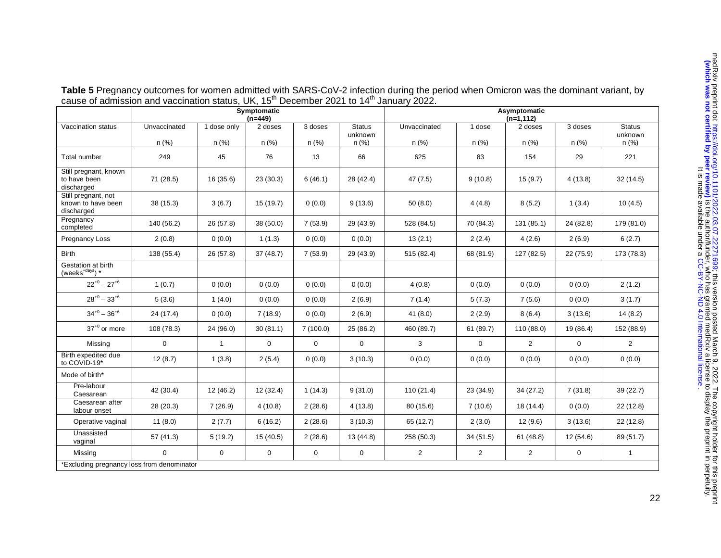|                                                         | Cause of admission and vaccination status, ON, TO December 2021 to 14 January 2022.<br>Symptomatic |              |                      |             |                 | Asymptomatic   |                |                         |             |                  |  |
|---------------------------------------------------------|----------------------------------------------------------------------------------------------------|--------------|----------------------|-------------|-----------------|----------------|----------------|-------------------------|-------------|------------------|--|
| Vaccination status                                      | Unvaccinated                                                                                       | 1 dose only  | $(n=449)$<br>2 doses | 3 doses     | <b>Status</b>   | Unvaccinated   | 1 dose         | $(n=1, 112)$<br>2 doses | 3 doses     | <b>Status</b>    |  |
|                                                         | $n$ (%)                                                                                            | n(%)         | $n$ (%)              | $n (\%)$    | unknown<br>n(%) | n (%)          | $n$ (%)        | $n$ (%)                 | n (%)       | unknown<br>n (%) |  |
| Total number                                            | 249                                                                                                | 45           | 76                   | 13          | 66              | 625            | 83             | 154                     | 29          | 221              |  |
| Still pregnant, known<br>to have been<br>discharged     | 71 (28.5)                                                                                          | 16(35.6)     | 23(30.3)             | 6(46.1)     | 28 (42.4)       | 47(7.5)        | 9(10.8)        | 15(9.7)                 | 4(13.8)     | 32(14.5)         |  |
| Still pregnant, not<br>known to have been<br>discharged | 38(15.3)                                                                                           | 3(6.7)       | 15(19.7)             | 0(0.0)      | 9(13.6)         | 50(8.0)        | 4(4.8)         | 8(5.2)                  | 1(3.4)      | 10(4.5)          |  |
| Pregnancy<br>completed                                  | 140 (56.2)                                                                                         | 26 (57.8)    | 38 (50.0)            | 7(53.9)     | 29 (43.9)       | 528 (84.5)     | 70 (84.3)      | 131 (85.1)              | 24 (82.8)   | 179 (81.0)       |  |
| Pregnancy Loss                                          | 2(0.8)                                                                                             | 0(0.0)       | 1(1.3)               | 0(0.0)      | 0(0.0)          | 13(2.1)        | 2(2.4)         | 4(2.6)                  | 2(6.9)      | 6(2.7)           |  |
| <b>Birth</b>                                            | 138 (55.4)                                                                                         | 26(57.8)     | 37(48.7)             | 7(53.9)     | 29 (43.9)       | 515 (82.4)     | 68 (81.9)      | 127 (82.5)              | 22 (75.9)   | 173 (78.3)       |  |
| Gestation at birth<br>$(^\text{weeks}^\text{+days})$ *  |                                                                                                    |              |                      |             |                 |                |                |                         |             |                  |  |
| $22^{+0} - 27^{+6}$                                     | 1(0.7)                                                                                             | 0(0.0)       | 0(0.0)               | 0(0.0)      | 0(0.0)          | 4(0.8)         | 0(0.0)         | 0(0.0)                  | 0(0.0)      | 2(1.2)           |  |
| $28^{+0} - 33^{+6}$                                     | 5(3.6)                                                                                             | 1(4.0)       | 0(0.0)               | 0(0.0)      | 2(6.9)          | 7(1.4)         | 5(7.3)         | 7(5.6)                  | 0(0.0)      | 3(1.7)           |  |
| $34^{+0} - 36^{+6}$                                     | 24 (17.4)                                                                                          | 0(0.0)       | 7(18.9)              | 0(0.0)      | 2(6.9)          | 41(8.0)        | 2(2.9)         | 8(6.4)                  | 3(13.6)     | 14(8.2)          |  |
| $37^{+0}$ or more                                       | 108 (78.3)                                                                                         | 24 (96.0)    | 30(81.1)             | 7(100.0)    | 25 (86.2)       | 460 (89.7)     | 61 (89.7)      | 110 (88.0)              | 19 (86.4)   | 152 (88.9)       |  |
| Missing                                                 | $\mathbf 0$                                                                                        | $\mathbf{1}$ | $\mathbf 0$          | $\mathbf 0$ | $\mathbf 0$     | 3              | $\mathbf 0$    | $\overline{2}$          | $\mathbf 0$ | $\overline{2}$   |  |
| Birth expedited due<br>to COVID-19*                     | 12(8.7)                                                                                            | 1(3.8)       | 2(5.4)               | 0(0.0)      | 3(10.3)         | 0(0.0)         | 0(0.0)         | 0(0.0)                  | 0(0.0)      | 0(0.0)           |  |
| Mode of birth*                                          |                                                                                                    |              |                      |             |                 |                |                |                         |             |                  |  |
| Pre-labour<br>Caesarean                                 | 42 (30.4)                                                                                          | 12(46.2)     | 12(32.4)             | 1(14.3)     | 9(31.0)         | 110(21.4)      | 23(34.9)       | 34(27.2)                | 7(31.8)     | 39 (22.7)        |  |
| Caesarean after<br>labour onset                         | 28 (20.3)                                                                                          | 7(26.9)      | 4(10.8)              | 2(28.6)     | 4(13.8)         | 80 (15.6)      | 7(10.6)        | 18(14.4)                | 0(0.0)      | 22(12.8)         |  |
| Operative vaginal                                       | 11(8.0)                                                                                            | 2(7.7)       | 6(16.2)              | 2(28.6)     | 3(10.3)         | 65 (12.7)      | 2(3.0)         | 12 (9.6)                | 3(13.6)     | 22(12.8)         |  |
| Unassisted<br>vaginal                                   | 57(41.3)                                                                                           | 5(19.2)      | 15(40.5)             | 2(28.6)     | 13 (44.8)       | 258 (50.3)     | 34(51.5)       | 61(48.8)                | 12(54.6)    | 89 (51.7)        |  |
| Missing                                                 | $\mathbf{0}$                                                                                       | $\mathbf 0$  | $\mathbf 0$          | $\mathbf 0$ | $\mathbf 0$     | $\overline{2}$ | $\overline{2}$ | $\overline{2}$          | 0           | $\mathbf{1}$     |  |
| *Excluding pregnancy loss from denominator              |                                                                                                    |              |                      |             |                 |                |                |                         |             |                  |  |

**Table 5** Pregnancy outcomes for women admitted with SARS-CoV-2 infection during the period when Omicron was the dominant variant, by cause of admission and vaccination status, UK, 15<sup>th</sup> December 2021 to 14<sup>th</sup> January 2022.